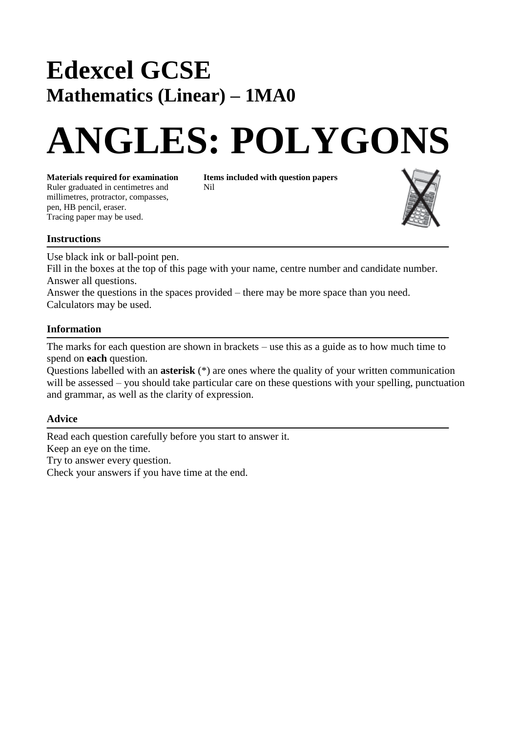## **Edexcel GCSE Mathematics (Linear) – 1MA0**

# **ANGLES: POLYGONS**

Ruler graduated in centimetres and Nil millimetres, protractor, compasses, pen, HB pencil, eraser. Tracing paper may be used.

**Materials required for examination Items included with question papers**



#### **Instructions**

Use black ink or ball-point pen.

Fill in the boxes at the top of this page with your name, centre number and candidate number. Answer all questions.

Answer the questions in the spaces provided – there may be more space than you need. Calculators may be used.

### **Information**

The marks for each question are shown in brackets – use this as a guide as to how much time to spend on **each** question.

Questions labelled with an **asterisk** (\*) are ones where the quality of your written communication will be assessed – you should take particular care on these questions with your spelling, punctuation and grammar, as well as the clarity of expression.

### **Advice**

Read each question carefully before you start to answer it. Keep an eye on the time. Try to answer every question. Check your answers if you have time at the end.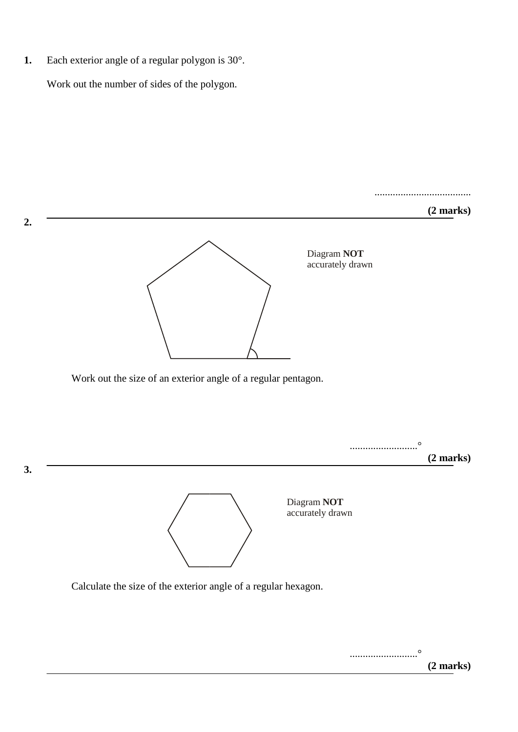**1.** Each exterior angle of a regular polygon is 30°.

**2.** 

Work out the number of sides of the polygon.

.....................................

#### **(2 marks)**



Work out the size of an exterior angle of a regular pentagon.



Calculate the size of the exterior angle of a regular hexagon.

..........................° **(2 marks)**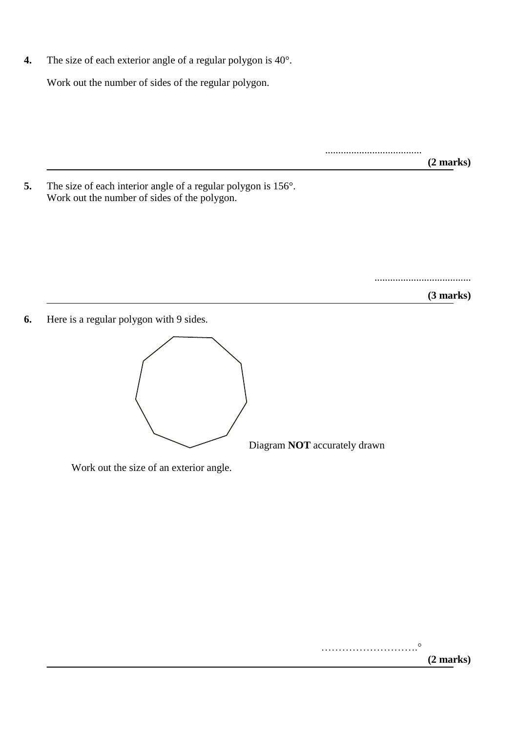**4.** The size of each exterior angle of a regular polygon is 40°.

Work out the number of sides of the regular polygon.

..................................... **(2 marks)**

**5.** The size of each interior angle of a regular polygon is 156°. Work out the number of sides of the polygon.

.....................................

**(3 marks)**

**6.** Here is a regular polygon with 9 sides.



Diagram **NOT** accurately drawn

Work out the size of an exterior angle.

……………………….° **(2 marks)**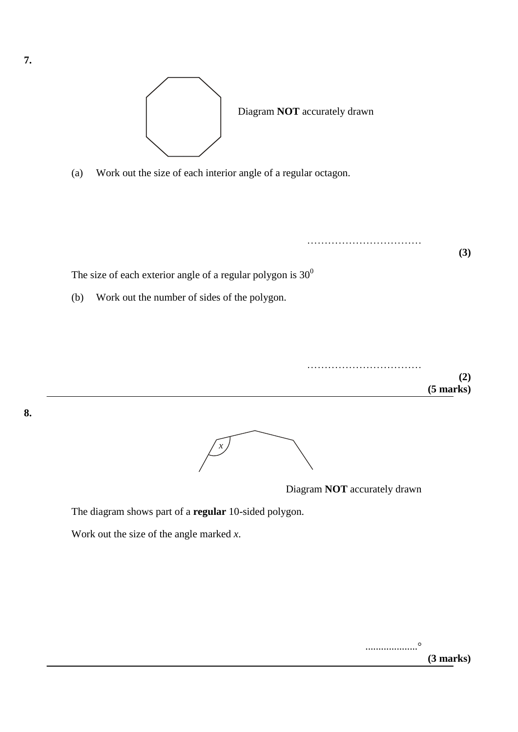

(a) Work out the size of each interior angle of a regular octagon.



**(2) (5 marks)**

**8.** 



Diagram **NOT** accurately drawn

……………………………

The diagram shows part of a **regular** 10-sided polygon.

Work out the size of the angle marked *x*.

....................°

**(3 marks)**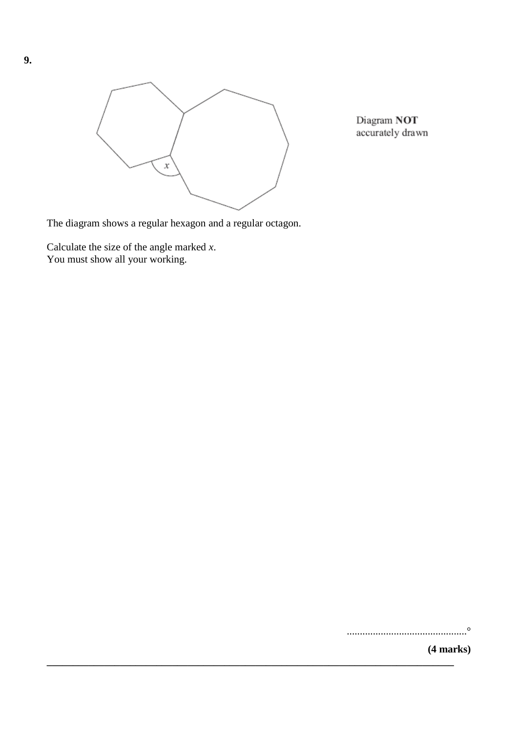

**\_\_\_\_\_\_\_\_\_\_\_\_\_\_\_\_\_\_\_\_\_\_\_\_\_\_\_\_\_\_\_\_\_\_\_\_\_\_\_\_\_\_\_\_\_\_\_\_\_\_\_\_\_\_\_\_\_\_\_\_\_\_\_\_\_\_\_\_\_\_\_\_\_\_\_\_\_\_**

Diagram NOT accurately drawn

The diagram shows a regular hexagon and a regular octagon.

Calculate the size of the angle marked *x*. You must show all your working.

..............................................°

**(4 marks)**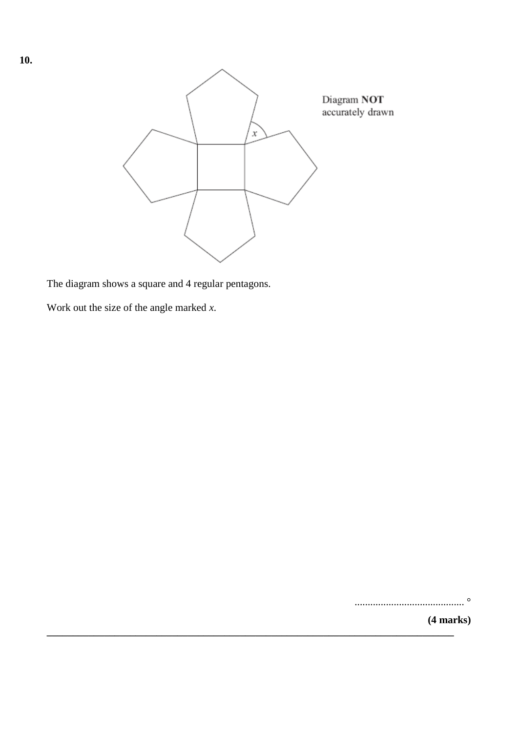

**\_\_\_\_\_\_\_\_\_\_\_\_\_\_\_\_\_\_\_\_\_\_\_\_\_\_\_\_\_\_\_\_\_\_\_\_\_\_\_\_\_\_\_\_\_\_\_\_\_\_\_\_\_\_\_\_\_\_\_\_\_\_\_\_\_\_\_\_\_\_\_\_\_\_\_\_\_\_**

The diagram shows a square and 4 regular pentagons.

Work out the size of the angle marked *x*.

.......................................... °

**(4 marks)**

**10.**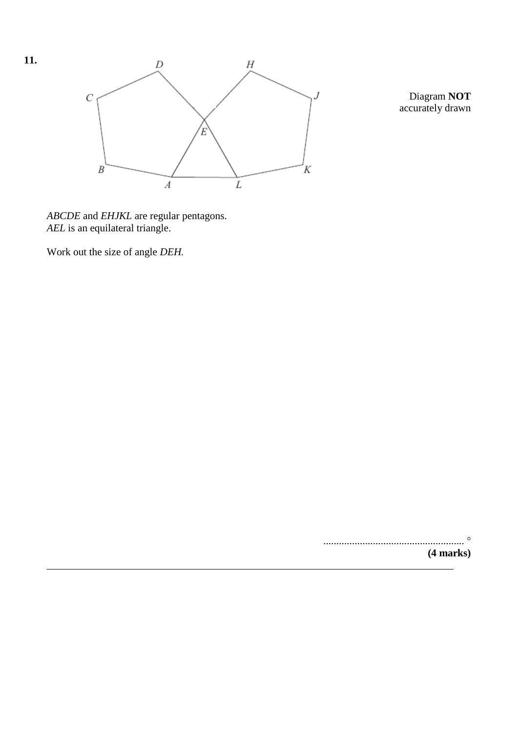

Diagram **NOT** accurately drawn

*ABCDE* and *EHJKL* are regular pentagons. *AEL* is an equilateral triangle.

Work out the size of angle *DEH.*

...................................................... **(4 marks)**